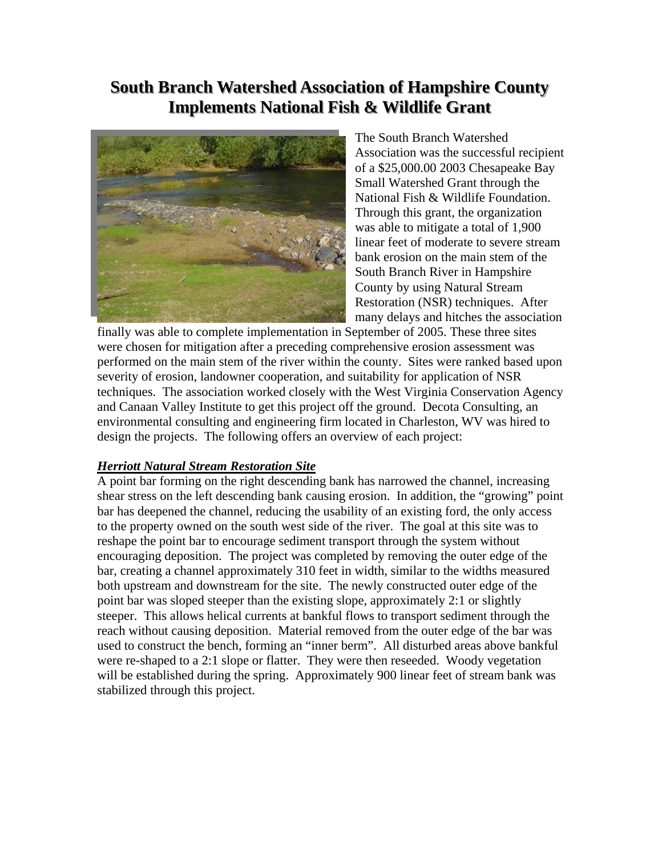## **South Branch Watershed Association of Hampshire County Implements National Fish & Wildlife Grant**



The South Branch Watershed Association was the successful recipient of a \$25,000.00 2003 Chesapeake Bay Small Watershed Grant through the National Fish & Wildlife Foundation. Through this grant, the organization was able to mitigate a total of 1,900 linear feet of moderate to severe stream bank erosion on the main stem of the South Branch River in Hampshire County by using Natural Stream Restoration (NSR) techniques. After many delays and hitches the association

finally was able to complete implementation in September of 2005. These three sites were chosen for mitigation after a preceding comprehensive erosion assessment was performed on the main stem of the river within the county. Sites were ranked based upon severity of erosion, landowner cooperation, and suitability for application of NSR techniques. The association worked closely with the West Virginia Conservation Agency and Canaan Valley Institute to get this project off the ground. Decota Consulting, an environmental consulting and engineering firm located in Charleston, WV was hired to design the projects. The following offers an overview of each project:

## *Herriott Natural Stream Restoration Site*

A point bar forming on the right descending bank has narrowed the channel, increasing shear stress on the left descending bank causing erosion. In addition, the "growing" point bar has deepened the channel, reducing the usability of an existing ford, the only access to the property owned on the south west side of the river. The goal at this site was to reshape the point bar to encourage sediment transport through the system without encouraging deposition. The project was completed by removing the outer edge of the bar, creating a channel approximately 310 feet in width, similar to the widths measured both upstream and downstream for the site. The newly constructed outer edge of the point bar was sloped steeper than the existing slope, approximately 2:1 or slightly steeper. This allows helical currents at bankful flows to transport sediment through the reach without causing deposition. Material removed from the outer edge of the bar was used to construct the bench, forming an "inner berm". All disturbed areas above bankful were re-shaped to a 2:1 slope or flatter. They were then reseeded. Woody vegetation will be established during the spring. Approximately 900 linear feet of stream bank was stabilized through this project.